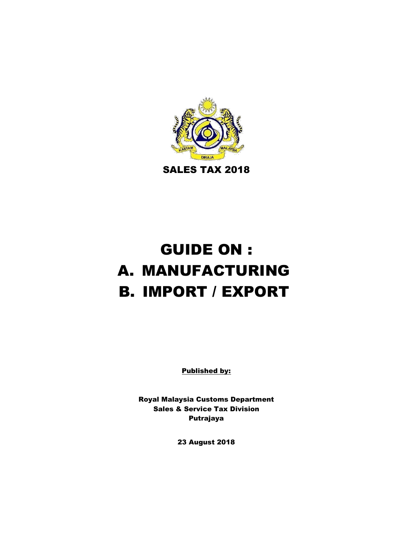

# GUIDE ON : A. MANUFACTURING B. IMPORT / EXPORT

Published by:

Royal Malaysia Customs Department Sales & Service Tax Division Putrajaya

23 August 2018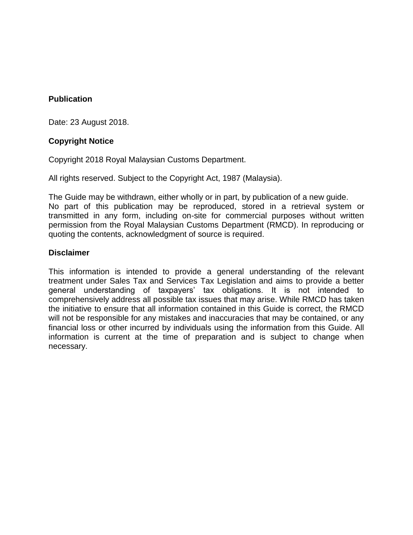#### **Publication**

Date: 23 August 2018.

#### **Copyright Notice**

Copyright 2018 Royal Malaysian Customs Department.

All rights reserved. Subject to the Copyright Act, 1987 (Malaysia).

The Guide may be withdrawn, either wholly or in part, by publication of a new guide. No part of this publication may be reproduced, stored in a retrieval system or transmitted in any form, including on-site for commercial purposes without written permission from the Royal Malaysian Customs Department (RMCD). In reproducing or quoting the contents, acknowledgment of source is required.

#### **Disclaimer**

This information is intended to provide a general understanding of the relevant treatment under Sales Tax and Services Tax Legislation and aims to provide a better general understanding of taxpayers' tax obligations. It is not intended to comprehensively address all possible tax issues that may arise. While RMCD has taken the initiative to ensure that all information contained in this Guide is correct, the RMCD will not be responsible for any mistakes and inaccuracies that may be contained, or any financial loss or other incurred by individuals using the information from this Guide. All information is current at the time of preparation and is subject to change when necessary.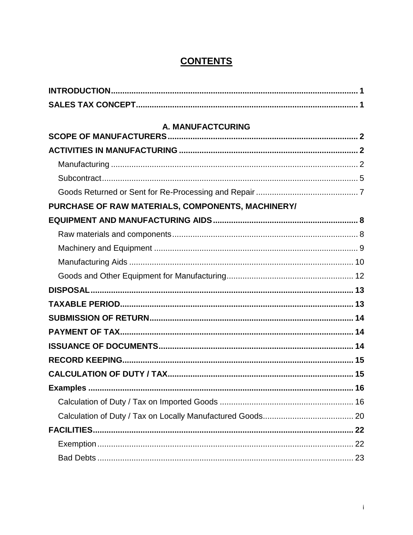# **CONTENTS**

| A. MANUFACTCURING                                 |      |
|---------------------------------------------------|------|
|                                                   |      |
|                                                   |      |
|                                                   |      |
|                                                   |      |
|                                                   |      |
| PURCHASE OF RAW MATERIALS, COMPONENTS, MACHINERY/ |      |
|                                                   |      |
|                                                   |      |
|                                                   |      |
|                                                   |      |
|                                                   |      |
|                                                   |      |
|                                                   |      |
|                                                   |      |
|                                                   |      |
|                                                   |      |
|                                                   |      |
|                                                   |      |
|                                                   | . 16 |
|                                                   |      |
|                                                   |      |
|                                                   |      |
|                                                   |      |
|                                                   |      |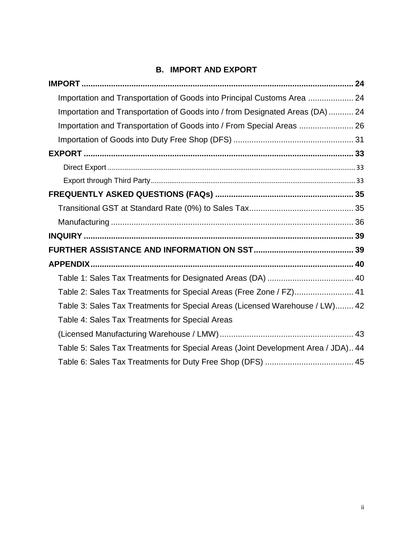# **[B. IMPORT AND EXPORT](#page-27-0)**

| Importation and Transportation of Goods into Principal Customs Area  24           |  |
|-----------------------------------------------------------------------------------|--|
| Importation and Transportation of Goods into / from Designated Areas (DA)  24     |  |
| Importation and Transportation of Goods into / From Special Areas  26             |  |
|                                                                                   |  |
|                                                                                   |  |
|                                                                                   |  |
|                                                                                   |  |
|                                                                                   |  |
|                                                                                   |  |
|                                                                                   |  |
|                                                                                   |  |
|                                                                                   |  |
|                                                                                   |  |
|                                                                                   |  |
| Table 2: Sales Tax Treatments for Special Areas (Free Zone / FZ) 41               |  |
| Table 3: Sales Tax Treatments for Special Areas (Licensed Warehouse / LW) 42      |  |
| Table 4: Sales Tax Treatments for Special Areas                                   |  |
|                                                                                   |  |
| Table 5: Sales Tax Treatments for Special Areas (Joint Development Area / JDA) 44 |  |
|                                                                                   |  |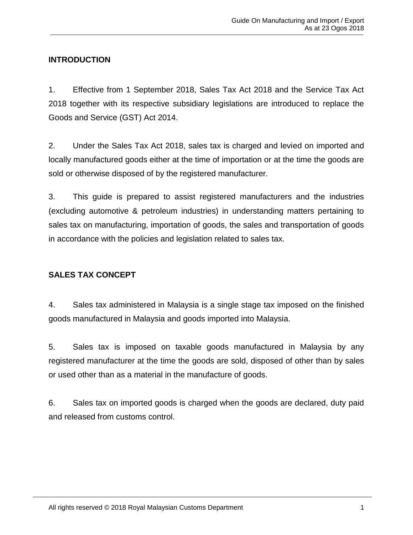# <span id="page-4-0"></span>**INTRODUCTION**

1. Effective from 1 September 2018, Sales Tax Act 2018 and the Service Tax Act 2018 together with its respective subsidiary legislations are introduced to replace the Goods and Service (GST) Act 2014.

2. Under the Sales Tax Act 2018, sales tax is charged and levied on imported and locally manufactured goods either at the time of importation or at the time the goods are sold or otherwise disposed of by the registered manufacturer.

3. This guide is prepared to assist registered manufacturers and the industries (excluding automotive & petroleum industries) in understanding matters pertaining to sales tax on manufacturing, importation of goods, the sales and transportation of goods in accordance with the policies and legislation related to sales tax.

# <span id="page-4-1"></span>**SALES TAX CONCEPT**

4. Sales tax administered in Malaysia is a single stage tax imposed on the finished goods manufactured in Malaysia and goods imported into Malaysia.

5. Sales tax is imposed on taxable goods manufactured in Malaysia by any registered manufacturer at the time the goods are sold, disposed of other than by sales or used other than as a material in the manufacture of goods.

6. Sales tax on imported goods is charged when the goods are declared, duty paid and released from customs control.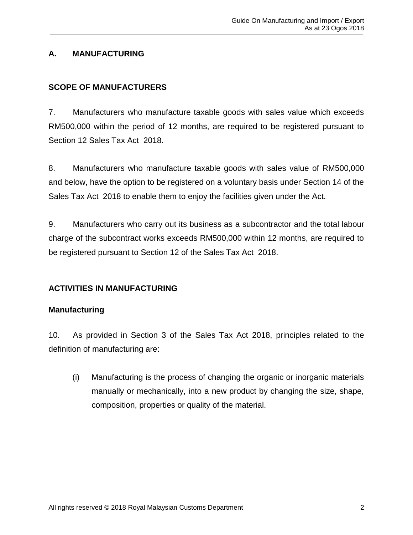# **A. MANUFACTURING**

# <span id="page-5-0"></span>**SCOPE OF MANUFACTURERS**

7. Manufacturers who manufacture taxable goods with sales value which exceeds RM500,000 within the period of 12 months, are required to be registered pursuant to Section 12 Sales Tax Act 2018.

8. Manufacturers who manufacture taxable goods with sales value of RM500,000 and below, have the option to be registered on a voluntary basis under Section 14 of the Sales Tax Act 2018 to enable them to enjoy the facilities given under the Act.

9. Manufacturers who carry out its business as a subcontractor and the total labour charge of the subcontract works exceeds RM500,000 within 12 months, are required to be registered pursuant to Section 12 of the Sales Tax Act 2018.

# <span id="page-5-1"></span>**ACTIVITIES IN MANUFACTURING**

# <span id="page-5-2"></span>**Manufacturing**

10. As provided in Section 3 of the Sales Tax Act 2018, principles related to the definition of manufacturing are:

(i) Manufacturing is the process of changing the organic or inorganic materials manually or mechanically, into a new product by changing the size, shape, composition, properties or quality of the material.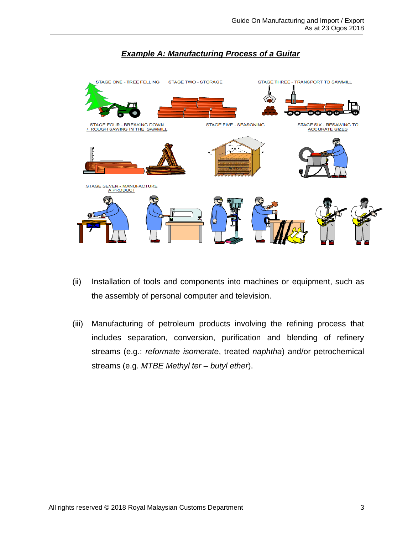

# *Example A: Manufacturing Process of a Guitar*

- (ii) Installation of tools and components into machines or equipment, such as the assembly of personal computer and television.
- (iii) Manufacturing of petroleum products involving the refining process that includes separation, conversion, purification and blending of refinery streams (e.g.: *reformate isomerate*, treated *naphtha*) and/or petrochemical streams (e.g. *MTBE Methyl ter – butyl ether*).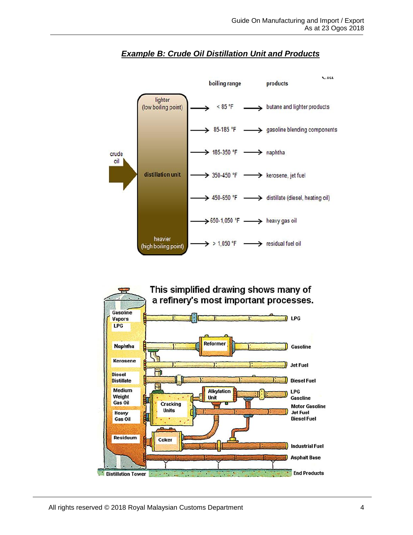

# *Example B: Crude Oil Distillation Unit and Products*

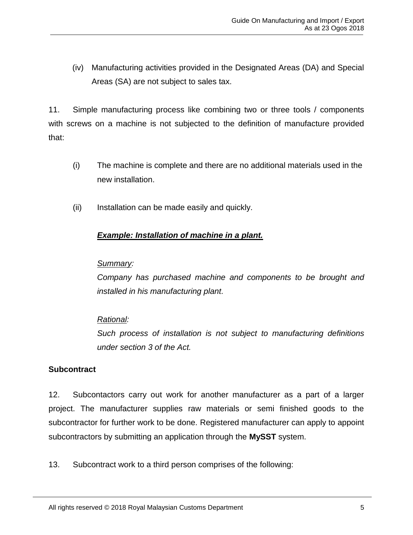(iv) Manufacturing activities provided in the Designated Areas (DA) and Special Areas (SA) are not subject to sales tax.

11. Simple manufacturing process like combining two or three tools / components with screws on a machine is not subjected to the definition of manufacture provided that:

- (i) The machine is complete and there are no additional materials used in the new installation.
- (ii) Installation can be made easily and quickly.

# *Example: Installation of machine in a plant.*

#### *Summary:*

*Company has purchased machine and components to be brought and installed in his manufacturing plant.* 

# *Rational:*

*Such process of installation is not subject to manufacturing definitions under section 3 of the Act.*

# <span id="page-8-0"></span>**Subcontract**

12. Subcontactors carry out work for another manufacturer as a part of a larger project. The manufacturer supplies raw materials or semi finished goods to the subcontractor for further work to be done. Registered manufacturer can apply to appoint subcontractors by submitting an application through the **MySST** system.

13. Subcontract work to a third person comprises of the following: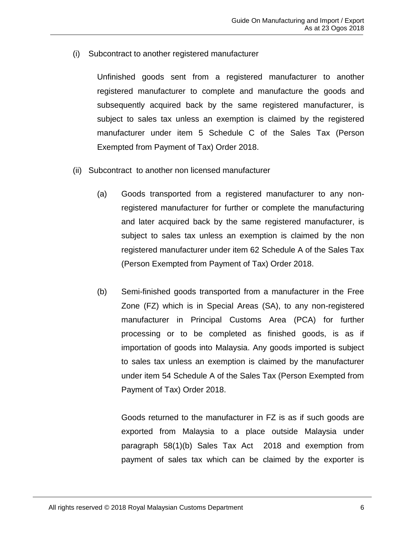(i) Subcontract to another registered manufacturer

Unfinished goods sent from a registered manufacturer to another registered manufacturer to complete and manufacture the goods and subsequently acquired back by the same registered manufacturer, is subject to sales tax unless an exemption is claimed by the registered manufacturer under item 5 Schedule C of the Sales Tax (Person Exempted from Payment of Tax) Order 2018.

- (ii) Subcontract to another non licensed manufacturer
	- (a) Goods transported from a registered manufacturer to any nonregistered manufacturer for further or complete the manufacturing and later acquired back by the same registered manufacturer, is subject to sales tax unless an exemption is claimed by the non registered manufacturer under item 62 Schedule A of the Sales Tax (Person Exempted from Payment of Tax) Order 2018.
	- (b) Semi-finished goods transported from a manufacturer in the Free Zone (FZ) which is in Special Areas (SA), to any non-registered manufacturer in Principal Customs Area (PCA) for further processing or to be completed as finished goods, is as if importation of goods into Malaysia. Any goods imported is subject to sales tax unless an exemption is claimed by the manufacturer under item 54 Schedule A of the Sales Tax (Person Exempted from Payment of Tax) Order 2018.

Goods returned to the manufacturer in FZ is as if such goods are exported from Malaysia to a place outside Malaysia under paragraph 58(1)(b) Sales Tax Act 2018 and exemption from payment of sales tax which can be claimed by the exporter is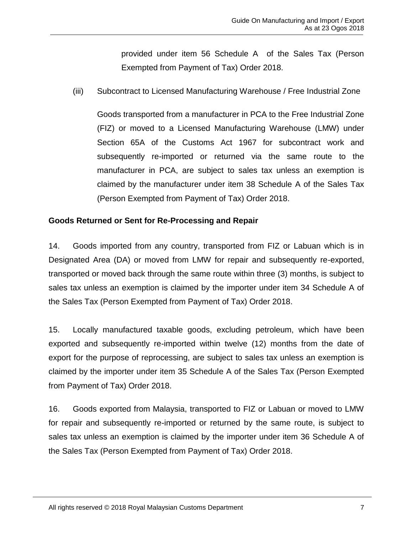provided under item 56 Schedule A of the Sales Tax (Person Exempted from Payment of Tax) Order 2018.

(iii) Subcontract to Licensed Manufacturing Warehouse / Free Industrial Zone

Goods transported from a manufacturer in PCA to the Free Industrial Zone (FIZ) or moved to a Licensed Manufacturing Warehouse (LMW) under Section 65A of the Customs Act 1967 for subcontract work and subsequently re-imported or returned via the same route to the manufacturer in PCA, are subject to sales tax unless an exemption is claimed by the manufacturer under item 38 Schedule A of the Sales Tax (Person Exempted from Payment of Tax) Order 2018.

# <span id="page-10-0"></span>**Goods Returned or Sent for Re-Processing and Repair**

14. Goods imported from any country, transported from FIZ or Labuan which is in Designated Area (DA) or moved from LMW for repair and subsequently re-exported, transported or moved back through the same route within three (3) months, is subject to sales tax unless an exemption is claimed by the importer under item 34 Schedule A of the Sales Tax (Person Exempted from Payment of Tax) Order 2018.

15. Locally manufactured taxable goods, excluding petroleum, which have been exported and subsequently re-imported within twelve (12) months from the date of export for the purpose of reprocessing, are subject to sales tax unless an exemption is claimed by the importer under item 35 Schedule A of the Sales Tax (Person Exempted from Payment of Tax) Order 2018.

16. Goods exported from Malaysia, transported to FIZ or Labuan or moved to LMW for repair and subsequently re-imported or returned by the same route, is subject to sales tax unless an exemption is claimed by the importer under item 36 Schedule A of the Sales Tax (Person Exempted from Payment of Tax) Order 2018.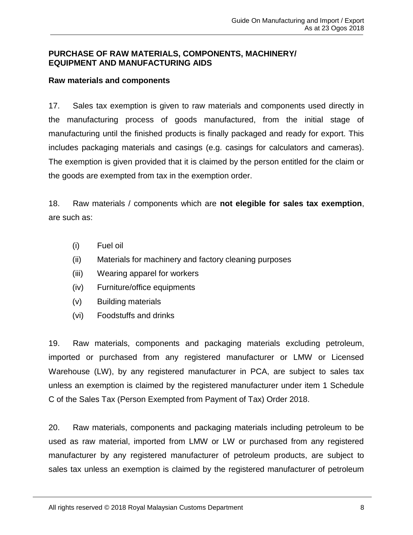#### <span id="page-11-0"></span>**PURCHASE OF RAW MATERIALS, COMPONENTS, MACHINERY/ EQUIPMENT AND MANUFACTURING AIDS**

#### <span id="page-11-1"></span>**Raw materials and components**

17. Sales tax exemption is given to raw materials and components used directly in the manufacturing process of goods manufactured, from the initial stage of manufacturing until the finished products is finally packaged and ready for export. This includes packaging materials and casings (e.g. casings for calculators and cameras). The exemption is given provided that it is claimed by the person entitled for the claim or the goods are exempted from tax in the exemption order.

18. Raw materials / components which are **not elegible for sales tax exemption**, are such as:

- (i) Fuel oil
- (ii) Materials for machinery and factory cleaning purposes
- (iii) Wearing apparel for workers
- (iv) Furniture/office equipments
- (v) Building materials
- (vi) Foodstuffs and drinks

19. Raw materials, components and packaging materials excluding petroleum, imported or purchased from any registered manufacturer or LMW or Licensed Warehouse (LW), by any registered manufacturer in PCA, are subject to sales tax unless an exemption is claimed by the registered manufacturer under item 1 Schedule C of the Sales Tax (Person Exempted from Payment of Tax) Order 2018.

20. Raw materials, components and packaging materials including petroleum to be used as raw material, imported from LMW or LW or purchased from any registered manufacturer by any registered manufacturer of petroleum products, are subject to sales tax unless an exemption is claimed by the registered manufacturer of petroleum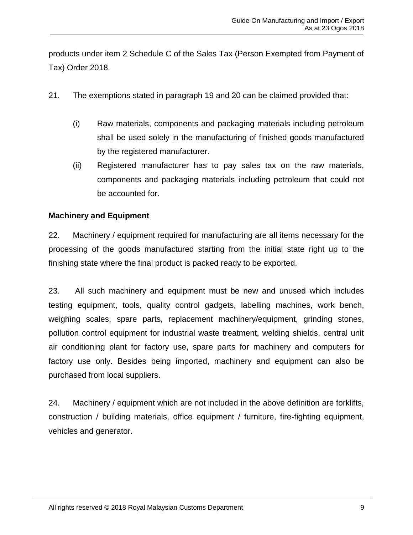products under item 2 Schedule C of the Sales Tax (Person Exempted from Payment of Tax) Order 2018.

- 21. The exemptions stated in paragraph 19 and 20 can be claimed provided that:
	- (i) Raw materials, components and packaging materials including petroleum shall be used solely in the manufacturing of finished goods manufactured by the registered manufacturer.
	- (ii) Registered manufacturer has to pay sales tax on the raw materials, components and packaging materials including petroleum that could not be accounted for.

# <span id="page-12-0"></span>**Machinery and Equipment**

22. Machinery / equipment required for manufacturing are all items necessary for the processing of the goods manufactured starting from the initial state right up to the finishing state where the final product is packed ready to be exported.

23. All such machinery and equipment must be new and unused which includes testing equipment, tools, quality control gadgets, labelling machines, work bench, weighing scales, spare parts, replacement machinery/equipment, grinding stones, pollution control equipment for industrial waste treatment, welding shields, central unit air conditioning plant for factory use, spare parts for machinery and computers for factory use only. Besides being imported, machinery and equipment can also be purchased from local suppliers.

24. Machinery / equipment which are not included in the above definition are forklifts, construction / building materials, office equipment / furniture, fire-fighting equipment, vehicles and generator.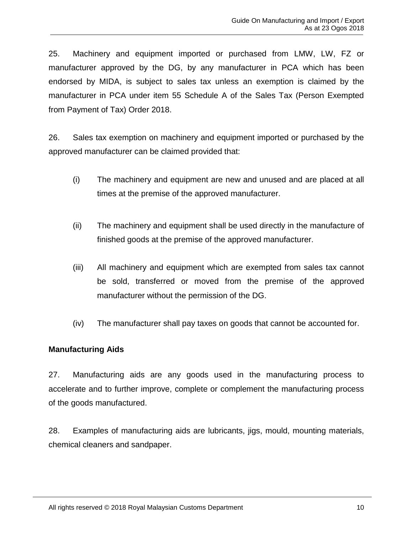25. Machinery and equipment imported or purchased from LMW, LW, FZ or manufacturer approved by the DG, by any manufacturer in PCA which has been endorsed by MIDA, is subject to sales tax unless an exemption is claimed by the manufacturer in PCA under item 55 Schedule A of the Sales Tax (Person Exempted from Payment of Tax) Order 2018.

26. Sales tax exemption on machinery and equipment imported or purchased by the approved manufacturer can be claimed provided that:

- (i) The machinery and equipment are new and unused and are placed at all times at the premise of the approved manufacturer.
- (ii) The machinery and equipment shall be used directly in the manufacture of finished goods at the premise of the approved manufacturer.
- (iii) All machinery and equipment which are exempted from sales tax cannot be sold, transferred or moved from the premise of the approved manufacturer without the permission of the DG.
- (iv) The manufacturer shall pay taxes on goods that cannot be accounted for.

# <span id="page-13-0"></span>**Manufacturing Aids**

27. Manufacturing aids are any goods used in the manufacturing process to accelerate and to further improve, complete or complement the manufacturing process of the goods manufactured.

28. Examples of manufacturing aids are lubricants, jigs, mould, mounting materials, chemical cleaners and sandpaper.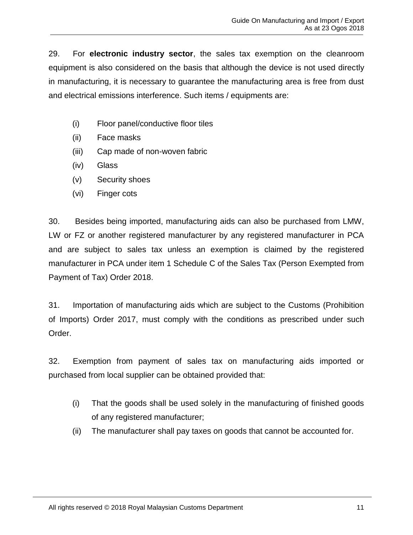29. For **electronic industry sector**, the sales tax exemption on the cleanroom equipment is also considered on the basis that although the device is not used directly in manufacturing, it is necessary to guarantee the manufacturing area is free from dust and electrical emissions interference. Such items / equipments are:

- (i) Floor panel/conductive floor tiles
- (ii) Face masks
- (iii) Cap made of non-woven fabric
- (iv) Glass
- (v) Security shoes
- (vi) Finger cots

30. Besides being imported, manufacturing aids can also be purchased from LMW, LW or FZ or another registered manufacturer by any registered manufacturer in PCA and are subject to sales tax unless an exemption is claimed by the registered manufacturer in PCA under item 1 Schedule C of the Sales Tax (Person Exempted from Payment of Tax) Order 2018.

31. Importation of manufacturing aids which are subject to the Customs (Prohibition of Imports) Order 2017, must comply with the conditions as prescribed under such Order.

32. Exemption from payment of sales tax on manufacturing aids imported or purchased from local supplier can be obtained provided that:

- (i) That the goods shall be used solely in the manufacturing of finished goods of any registered manufacturer;
- (ii) The manufacturer shall pay taxes on goods that cannot be accounted for.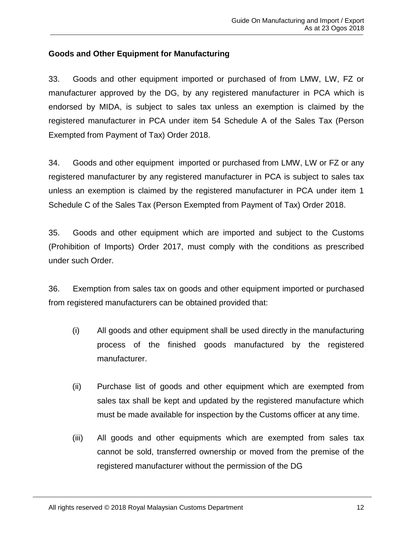# <span id="page-15-0"></span>**Goods and Other Equipment for Manufacturing**

33. Goods and other equipment imported or purchased of from LMW, LW, FZ or manufacturer approved by the DG, by any registered manufacturer in PCA which is endorsed by MIDA, is subject to sales tax unless an exemption is claimed by the registered manufacturer in PCA under item 54 Schedule A of the Sales Tax (Person Exempted from Payment of Tax) Order 2018.

34. Goods and other equipment imported or purchased from LMW, LW or FZ or any registered manufacturer by any registered manufacturer in PCA is subject to sales tax unless an exemption is claimed by the registered manufacturer in PCA under item 1 Schedule C of the Sales Tax (Person Exempted from Payment of Tax) Order 2018.

35. Goods and other equipment which are imported and subject to the Customs (Prohibition of Imports) Order 2017, must comply with the conditions as prescribed under such Order.

36. Exemption from sales tax on goods and other equipment imported or purchased from registered manufacturers can be obtained provided that:

- (i) All goods and other equipment shall be used directly in the manufacturing process of the finished goods manufactured by the registered manufacturer.
- (ii) Purchase list of goods and other equipment which are exempted from sales tax shall be kept and updated by the registered manufacture which must be made available for inspection by the Customs officer at any time.
- (iii) All goods and other equipments which are exempted from sales tax cannot be sold, transferred ownership or moved from the premise of the registered manufacturer without the permission of the DG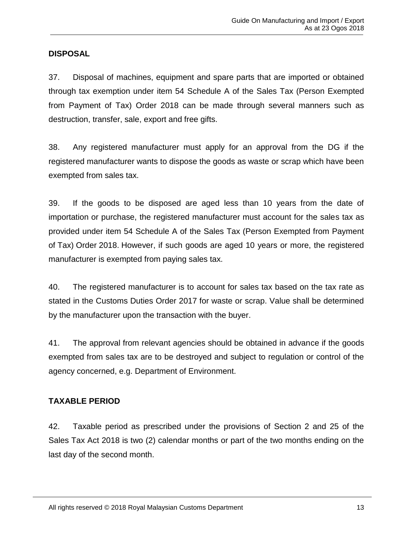# <span id="page-16-0"></span>**DISPOSAL**

37. Disposal of machines, equipment and spare parts that are imported or obtained through tax exemption under item 54 Schedule A of the Sales Tax (Person Exempted from Payment of Tax) Order 2018 can be made through several manners such as destruction, transfer, sale, export and free gifts.

38. Any registered manufacturer must apply for an approval from the DG if the registered manufacturer wants to dispose the goods as waste or scrap which have been exempted from sales tax.

39. If the goods to be disposed are aged less than 10 years from the date of importation or purchase, the registered manufacturer must account for the sales tax as provided under item 54 Schedule A of the Sales Tax (Person Exempted from Payment of Tax) Order 2018. However, if such goods are aged 10 years or more, the registered manufacturer is exempted from paying sales tax.

40. The registered manufacturer is to account for sales tax based on the tax rate as stated in the Customs Duties Order 2017 for waste or scrap. Value shall be determined by the manufacturer upon the transaction with the buyer.

41. The approval from relevant agencies should be obtained in advance if the goods exempted from sales tax are to be destroyed and subject to regulation or control of the agency concerned, e.g. Department of Environment.

# <span id="page-16-1"></span>**TAXABLE PERIOD**

42. Taxable period as prescribed under the provisions of Section 2 and 25 of the Sales Tax Act 2018 is two (2) calendar months or part of the two months ending on the last day of the second month.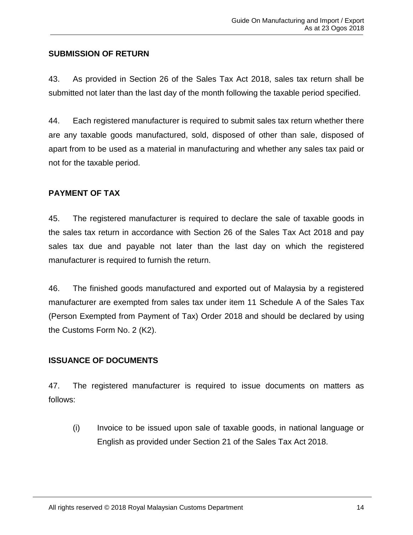# <span id="page-17-0"></span>**SUBMISSION OF RETURN**

43. As provided in Section 26 of the Sales Tax Act 2018, sales tax return shall be submitted not later than the last day of the month following the taxable period specified.

44. Each registered manufacturer is required to submit sales tax return whether there are any taxable goods manufactured, sold, disposed of other than sale, disposed of apart from to be used as a material in manufacturing and whether any sales tax paid or not for the taxable period.

#### <span id="page-17-1"></span>**PAYMENT OF TAX**

45. The registered manufacturer is required to declare the sale of taxable goods in the sales tax return in accordance with Section 26 of the Sales Tax Act 2018 and pay sales tax due and payable not later than the last day on which the registered manufacturer is required to furnish the return.

46. The finished goods manufactured and exported out of Malaysia by a registered manufacturer are exempted from sales tax under item 11 Schedule A of the Sales Tax (Person Exempted from Payment of Tax) Order 2018 and should be declared by using the Customs Form No. 2 (K2).

# <span id="page-17-2"></span>**ISSUANCE OF DOCUMENTS**

47. The registered manufacturer is required to issue documents on matters as follows:

(i) Invoice to be issued upon sale of taxable goods, in national language or English as provided under Section 21 of the Sales Tax Act 2018.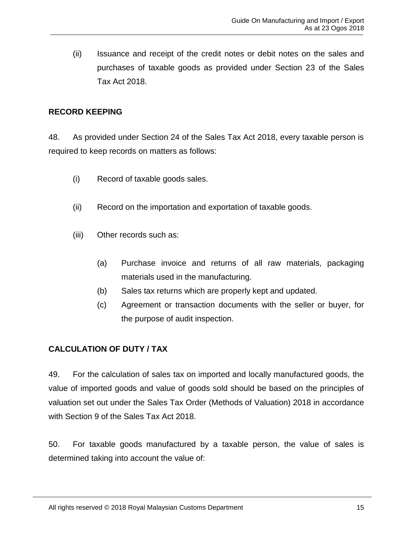(ii) Issuance and receipt of the credit notes or debit notes on the sales and purchases of taxable goods as provided under Section 23 of the Sales Tax Act 2018.

# <span id="page-18-0"></span>**RECORD KEEPING**

48. As provided under Section 24 of the Sales Tax Act 2018, every taxable person is required to keep records on matters as follows:

- (i) Record of taxable goods sales.
- (ii) Record on the importation and exportation of taxable goods.
- (iii) Other records such as:
	- (a) Purchase invoice and returns of all raw materials, packaging materials used in the manufacturing.
	- (b) Sales tax returns which are properly kept and updated.
	- (c) Agreement or transaction documents with the seller or buyer, for the purpose of audit inspection.

# <span id="page-18-1"></span>**CALCULATION OF DUTY / TAX**

49. For the calculation of sales tax on imported and locally manufactured goods, the value of imported goods and value of goods sold should be based on the principles of valuation set out under the Sales Tax Order (Methods of Valuation) 2018 in accordance with Section 9 of the Sales Tax Act 2018.

50. For taxable goods manufactured by a taxable person, the value of sales is determined taking into account the value of: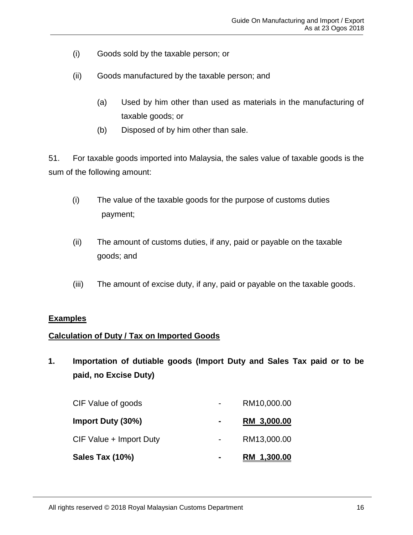- (i) Goods sold by the taxable person; or
- (ii) Goods manufactured by the taxable person; and
	- (a) Used by him other than used as materials in the manufacturing of taxable goods; or
	- (b) Disposed of by him other than sale.

51. For taxable goods imported into Malaysia, the sales value of taxable goods is the sum of the following amount:

- (i) The value of the taxable goods for the purpose of customs duties payment;
- (ii) The amount of customs duties, if any, paid or payable on the taxable goods; and
- (iii) The amount of excise duty, if any, paid or payable on the taxable goods.

#### <span id="page-19-0"></span>**Examples**

#### <span id="page-19-1"></span>**Calculation of Duty / Tax on Imported Goods**

**1. Importation of dutiable goods (Import Duty and Sales Tax paid or to be paid, no Excise Duty)**

| Sales Tax (10%)         |                | RM 1,300.00 |
|-------------------------|----------------|-------------|
| CIF Value + Import Duty |                | RM13,000.00 |
| Import Duty (30%)       | $\blacksquare$ | RM 3,000.00 |
| CIF Value of goods      |                | RM10,000.00 |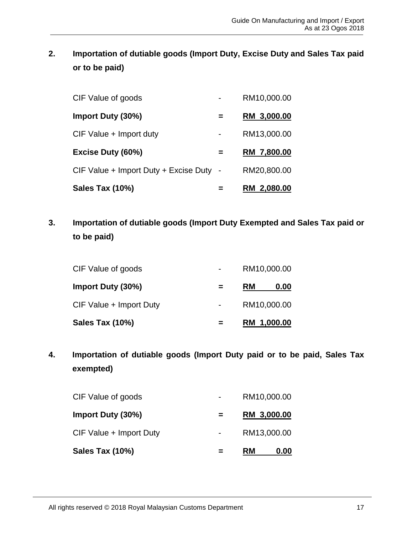**2. Importation of dutiable goods (Import Duty, Excise Duty and Sales Tax paid or to be paid)** 

| Sales Tax (10%)                         | RM 2,080.00 |
|-----------------------------------------|-------------|
| CIF Value + Import Duty + Excise Duty - | RM20,800.00 |
| Excise Duty (60%)                       | RM 7,800.00 |
| CIF Value + Import duty                 | RM13,000.00 |
| Import Duty (30%)                       | RM 3,000.00 |
| CIF Value of goods                      | RM10,000.00 |

**3. Importation of dutiable goods (Import Duty Exempted and Sales Tax paid or to be paid)**

| Sales Tax (10%)         | RM 1,000.00 |      |
|-------------------------|-------------|------|
| CIF Value + Import Duty | RM10,000.00 |      |
| Import Duty (30%)       | <b>RM</b>   | 0.00 |
| CIF Value of goods      | RM10,000.00 |      |

**4. Importation of dutiable goods (Import Duty paid or to be paid, Sales Tax exempted)**

| Sales Tax (10%)         | <b>RM</b>   | 0.00 |
|-------------------------|-------------|------|
| CIF Value + Import Duty | RM13,000.00 |      |
| Import Duty (30%)       | RM 3,000.00 |      |
| CIF Value of goods      | RM10,000.00 |      |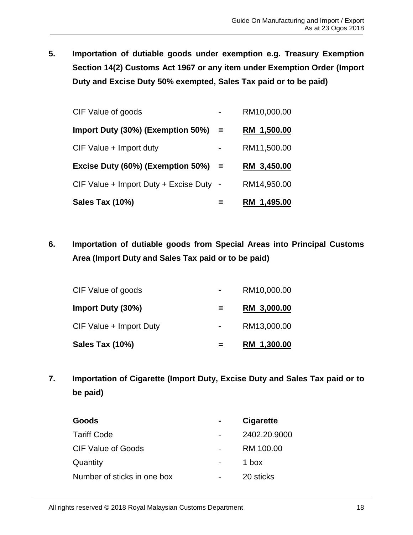**5. Importation of dutiable goods under exemption e.g. Treasury Exemption Section 14(2) Customs Act 1967 or any item under Exemption Order (Import Duty and Excise Duty 50% exempted, Sales Tax paid or to be paid)** 

| Sales Tax (10%)                         |     | RM 1,495.00 |
|-----------------------------------------|-----|-------------|
| CIF Value + Import Duty + Excise Duty - |     | RM14,950.00 |
| Excise Duty (60%) (Exemption 50%)       | $=$ | RM 3,450.00 |
| CIF Value + Import duty                 |     | RM11,500.00 |
| Import Duty (30%) (Exemption 50%)       | $=$ | RM 1,500.00 |
| CIF Value of goods                      |     | RM10,000.00 |

**6. Importation of dutiable goods from Special Areas into Principal Customs Area (Import Duty and Sales Tax paid or to be paid)**

| Sales Tax (10%)         | RM 1,300.00 |
|-------------------------|-------------|
| CIF Value + Import Duty | RM13,000.00 |
| Import Duty (30%)       | RM 3,000.00 |
| CIF Value of goods      | RM10,000.00 |

**7. Importation of Cigarette (Import Duty, Excise Duty and Sales Tax paid or to be paid)**

| Goods                       | <b>Cigarette</b> |
|-----------------------------|------------------|
| <b>Tariff Code</b>          | 2402.20.9000     |
| CIF Value of Goods          | RM 100.00        |
| Quantity                    | 1 box            |
| Number of sticks in one box | 20 sticks        |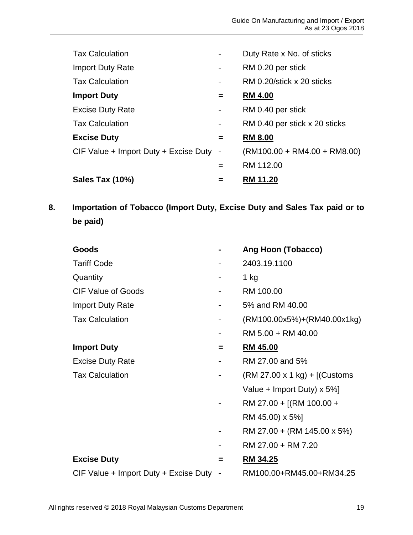| <b>Tax Calculation</b>                  |                | Duty Rate x No. of sticks      |
|-----------------------------------------|----------------|--------------------------------|
| <b>Import Duty Rate</b>                 | $\blacksquare$ | RM 0.20 per stick              |
| <b>Tax Calculation</b>                  | $\blacksquare$ | RM 0.20/stick x 20 sticks      |
| <b>Import Duty</b>                      | $\equiv$       | <b>RM 4.00</b>                 |
| <b>Excise Duty Rate</b>                 | $\blacksquare$ | RM 0.40 per stick              |
| <b>Tax Calculation</b>                  | ٠              | RM 0.40 per stick x 20 sticks  |
| <b>Excise Duty</b>                      | $=$            | <b>RM 8.00</b>                 |
| CIF Value + Import Duty + Excise Duty - |                | $(RM100.00 + RM4.00 + RM8.00)$ |
|                                         | $=$            | RM 112.00                      |
| Sales Tax (10%)                         | =              | <b>RM 11.20</b>                |

**8. Importation of Tobacco (Import Duty, Excise Duty and Sales Tax paid or to be paid)**

| <b>Goods</b>                            |   | <b>Ang Hoon (Tobacco)</b>       |
|-----------------------------------------|---|---------------------------------|
| <b>Tariff Code</b>                      |   | 2403.19.1100                    |
| Quantity                                |   | 1 kg                            |
| <b>CIF Value of Goods</b>               |   | RM 100.00                       |
| <b>Import Duty Rate</b>                 |   | 5% and RM 40.00                 |
| <b>Tax Calculation</b>                  |   | $(RM100.00x5%)+(RM40.00x1kg)$   |
|                                         |   | RM 5.00 + RM 40.00              |
| <b>Import Duty</b>                      | = | <b>RM 45.00</b>                 |
| <b>Excise Duty Rate</b>                 |   | RM 27.00 and 5%                 |
| <b>Tax Calculation</b>                  |   | $(RM 27.00 x 1 kg) + [(Customs$ |
|                                         |   | Value + Import Duty) x 5%]      |
|                                         |   | RM 27.00 + [(RM 100.00 +        |
|                                         |   | RM 45.00) x 5%]                 |
|                                         |   | RM 27.00 + (RM 145.00 x 5%)     |
|                                         |   | RM 27.00 + RM 7.20              |
| <b>Excise Duty</b>                      | = | <b>RM 34.25</b>                 |
| CIF Value + Import Duty + Excise Duty - |   | RM100.00+RM45.00+RM34.25        |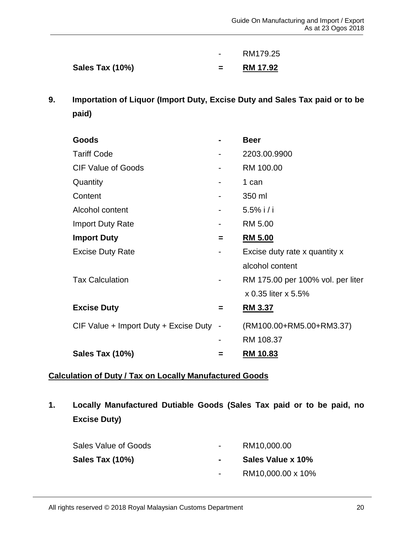| <b>Sales Tax (10%)</b> | <b>RM 17.92</b> |
|------------------------|-----------------|
|                        | RM179.25        |

**9. Importation of Liquor (Import Duty, Excise Duty and Sales Tax paid or to be paid)**

| Goods                                   |   | <b>Beer</b>                       |
|-----------------------------------------|---|-----------------------------------|
| <b>Tariff Code</b>                      |   | 2203.00.9900                      |
| <b>CIF Value of Goods</b>               |   | RM 100.00                         |
| Quantity                                |   | 1 can                             |
| Content                                 |   | 350 ml                            |
| Alcohol content                         |   | $5.5\%$ i/i                       |
| <b>Import Duty Rate</b>                 |   | RM 5.00                           |
| <b>Import Duty</b>                      | = | <u>RM 5.00</u>                    |
| <b>Excise Duty Rate</b>                 |   | Excise duty rate x quantity x     |
|                                         |   | alcohol content                   |
| <b>Tax Calculation</b>                  |   | RM 175.00 per 100% vol. per liter |
|                                         |   | x 0.35 liter x 5.5%               |
| <b>Excise Duty</b>                      | = | <b>RM 3.37</b>                    |
| CIF Value + Import Duty + Excise Duty - |   | (RM100.00+RM5.00+RM3.37)          |
|                                         |   | RM 108.37                         |
| Sales Tax (10%)                         | = | <b>RM 10.83</b>                   |

# <span id="page-23-0"></span>**Calculation of Duty / Tax on Locally Manufactured Goods**

**1. Locally Manufactured Dutiable Goods (Sales Tax paid or to be paid, no Excise Duty)** 

| Sales Value of Goods | $\sim$ | RM10,000.00       |
|----------------------|--------|-------------------|
| Sales Tax (10%)      |        | Sales Value x 10% |
|                      |        |                   |

- RM10,000.00 x 10%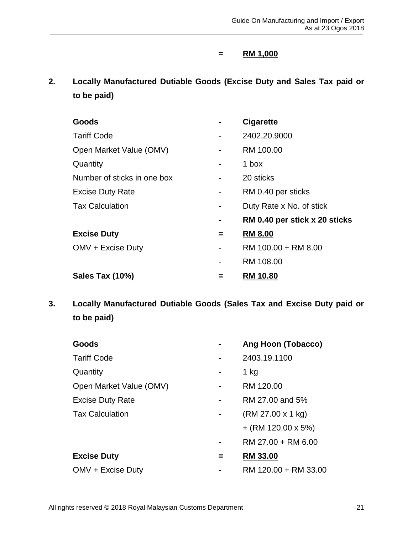# **= RM 1,000**

**2. Locally Manufactured Dutiable Goods (Excise Duty and Sales Tax paid or to be paid)** 

| Goods                       |   | <b>Cigarette</b>              |
|-----------------------------|---|-------------------------------|
| <b>Tariff Code</b>          |   | 2402.20.9000                  |
| Open Market Value (OMV)     |   | RM 100.00                     |
| Quantity                    |   | 1 box                         |
| Number of sticks in one box |   | 20 sticks                     |
| <b>Excise Duty Rate</b>     |   | RM 0.40 per sticks            |
| <b>Tax Calculation</b>      | - | Duty Rate x No. of stick      |
|                             |   | RM 0.40 per stick x 20 sticks |
| <b>Excise Duty</b>          | = | <b>RM 8.00</b>                |
| OMV + Excise Duty           |   | RM 100.00 + RM 8.00           |
|                             |   | RM 108.00                     |
| Sales Tax (10%)             |   | <b>RM 10.80</b>               |

**3. Locally Manufactured Dutiable Goods (Sales Tax and Excise Duty paid or to be paid)** 

| Goods                   |   | Ang Hoon (Tobacco)   |
|-------------------------|---|----------------------|
| <b>Tariff Code</b>      |   | 2403.19.1100         |
| Quantity                |   | 1 kg                 |
| Open Market Value (OMV) |   | RM 120.00            |
| <b>Excise Duty Rate</b> |   | RM 27.00 and 5%      |
| <b>Tax Calculation</b>  |   | (RM 27.00 x 1 kg)    |
|                         |   | $+$ (RM 120.00 x 5%) |
|                         |   | RM 27.00 + RM 6.00   |
| <b>Excise Duty</b>      | = | <b>RM 33.00</b>      |
| OMV + Excise Duty       |   | RM 120.00 + RM 33.00 |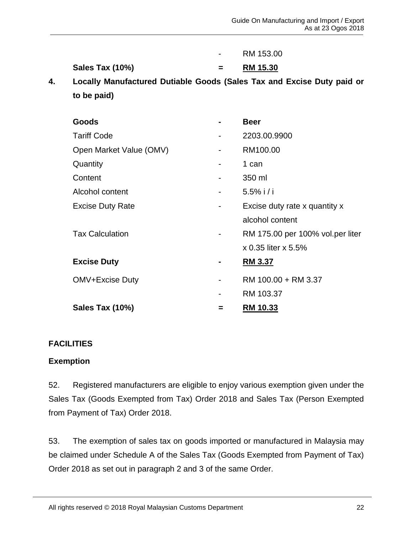|    |                                                                        |     | RM 153.00                        |
|----|------------------------------------------------------------------------|-----|----------------------------------|
|    | Sales Tax (10%)                                                        | $=$ | RM 15.30                         |
| 4. | Locally Manufactured Dutiable Goods (Sales Tax and Excise Duty paid or |     |                                  |
|    | to be paid)                                                            |     |                                  |
|    |                                                                        |     |                                  |
|    | Goods                                                                  |     | <b>Beer</b>                      |
|    | <b>Tariff Code</b>                                                     |     | 2203.00.9900                     |
|    | Open Market Value (OMV)                                                |     | RM100.00                         |
|    | Quantity                                                               |     | 1 can                            |
|    | Content                                                                |     | 350 ml                           |
|    | Alcohol content                                                        |     | $5.5\%$ i/i                      |
|    | <b>Excise Duty Rate</b>                                                |     | Excise duty rate x quantity x    |
|    |                                                                        |     | alcohol content                  |
|    | <b>Tax Calculation</b>                                                 |     | RM 175.00 per 100% vol.per liter |
|    |                                                                        |     | x 0.35 liter x 5.5%              |
|    | <b>Excise Duty</b>                                                     |     | RM 3.37                          |
|    | OMV+Excise Duty                                                        |     | RM 100.00 + RM 3.37              |
|    |                                                                        |     | RM 103.37                        |
|    | Sales Tax (10%)                                                        | =   | <b>RM 10.33</b>                  |
|    |                                                                        |     |                                  |

#### <span id="page-25-0"></span>**FACILITIES**

#### <span id="page-25-1"></span>**Exemption**

52. Registered manufacturers are eligible to enjoy various exemption given under the Sales Tax (Goods Exempted from Tax) Order 2018 and Sales Tax (Person Exempted from Payment of Tax) Order 2018.

53. The exemption of sales tax on goods imported or manufactured in Malaysia may be claimed under Schedule A of the Sales Tax (Goods Exempted from Payment of Tax) Order 2018 as set out in paragraph 2 and 3 of the same Order.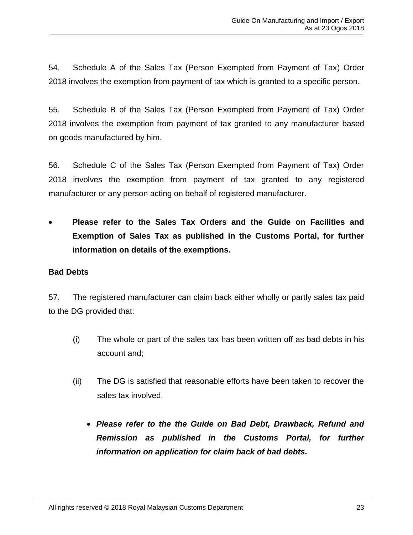54. Schedule A of the Sales Tax (Person Exempted from Payment of Tax) Order 2018 involves the exemption from payment of tax which is granted to a specific person.

55. Schedule B of the Sales Tax (Person Exempted from Payment of Tax) Order 2018 involves the exemption from payment of tax granted to any manufacturer based on goods manufactured by him.

56. Schedule C of the Sales Tax (Person Exempted from Payment of Tax) Order 2018 involves the exemption from payment of tax granted to any registered manufacturer or any person acting on behalf of registered manufacturer.

• **Please refer to the Sales Tax Orders and the Guide on Facilities and Exemption of Sales Tax as published in the Customs Portal, for further information on details of the exemptions.**

# <span id="page-26-0"></span>**Bad Debts**

57. The registered manufacturer can claim back either wholly or partly sales tax paid to the DG provided that:

- (i) The whole or part of the sales tax has been written off as bad debts in his account and;
- (ii) The DG is satisfied that reasonable efforts have been taken to recover the sales tax involved.
	- *Please refer to the the Guide on Bad Debt, Drawback, Refund and Remission as published in the Customs Portal, for further information on application for claim back of bad debts.*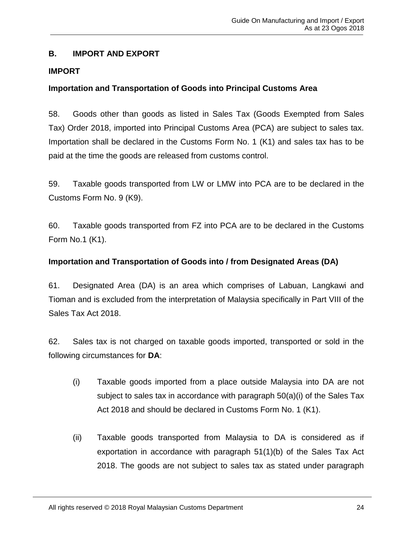# <span id="page-27-0"></span>**B. IMPORT AND EXPORT**

# <span id="page-27-1"></span>**IMPORT**

# <span id="page-27-2"></span>**Importation and Transportation of Goods into Principal Customs Area**

58. Goods other than goods as listed in Sales Tax (Goods Exempted from Sales Tax) Order 2018, imported into Principal Customs Area (PCA) are subject to sales tax. Importation shall be declared in the Customs Form No. 1 (K1) and sales tax has to be paid at the time the goods are released from customs control.

59. Taxable goods transported from LW or LMW into PCA are to be declared in the Customs Form No. 9 (K9).

60. Taxable goods transported from FZ into PCA are to be declared in the Customs Form No.1 (K1).

# <span id="page-27-3"></span>**Importation and Transportation of Goods into / from Designated Areas (DA)**

61. Designated Area (DA) is an area which comprises of Labuan, Langkawi and Tioman and is excluded from the interpretation of Malaysia specifically in Part VIII of the Sales Tax Act 2018.

62. Sales tax is not charged on taxable goods imported, transported or sold in the following circumstances for **DA**:

- (i) Taxable goods imported from a place outside Malaysia into DA are not subject to sales tax in accordance with paragraph  $50(a)(i)$  of the Sales Tax Act 2018 and should be declared in Customs Form No. 1 (K1).
- (ii) Taxable goods transported from Malaysia to DA is considered as if exportation in accordance with paragraph 51(1)(b) of the Sales Tax Act 2018. The goods are not subject to sales tax as stated under paragraph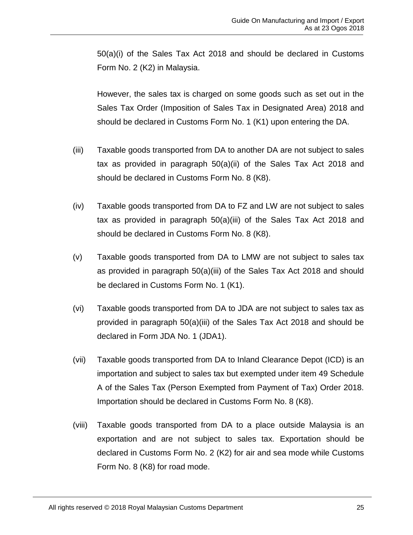50(a)(i) of the Sales Tax Act 2018 and should be declared in Customs Form No. 2 (K2) in Malaysia.

However, the sales tax is charged on some goods such as set out in the Sales Tax Order (Imposition of Sales Tax in Designated Area) 2018 and should be declared in Customs Form No. 1 (K1) upon entering the DA.

- (iii) Taxable goods transported from DA to another DA are not subject to sales tax as provided in paragraph 50(a)(ii) of the Sales Tax Act 2018 and should be declared in Customs Form No. 8 (K8).
- (iv) Taxable goods transported from DA to FZ and LW are not subject to sales tax as provided in paragraph 50(a)(iii) of the Sales Tax Act 2018 and should be declared in Customs Form No. 8 (K8).
- (v) Taxable goods transported from DA to LMW are not subject to sales tax as provided in paragraph 50(a)(iii) of the Sales Tax Act 2018 and should be declared in Customs Form No. 1 (K1).
- (vi) Taxable goods transported from DA to JDA are not subject to sales tax as provided in paragraph 50(a)(iii) of the Sales Tax Act 2018 and should be declared in Form JDA No. 1 (JDA1).
- (vii) Taxable goods transported from DA to Inland Clearance Depot (ICD) is an importation and subject to sales tax but exempted under item 49 Schedule A of the Sales Tax (Person Exempted from Payment of Tax) Order 2018. Importation should be declared in Customs Form No. 8 (K8).
- (viii) Taxable goods transported from DA to a place outside Malaysia is an exportation and are not subject to sales tax. Exportation should be declared in Customs Form No. 2 (K2) for air and sea mode while Customs Form No. 8 (K8) for road mode.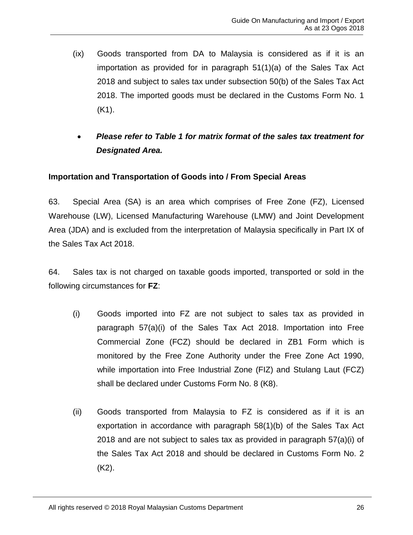- (ix) Goods transported from DA to Malaysia is considered as if it is an importation as provided for in paragraph 51(1)(a) of the Sales Tax Act 2018 and subject to sales tax under subsection 50(b) of the Sales Tax Act 2018. The imported goods must be declared in the Customs Form No. 1 (K1).
- *Please refer to Table 1 for matrix format of the sales tax treatment for Designated Area.*

# <span id="page-29-0"></span>**Importation and Transportation of Goods into / From Special Areas**

63. Special Area (SA) is an area which comprises of Free Zone (FZ), Licensed Warehouse (LW), Licensed Manufacturing Warehouse (LMW) and Joint Development Area (JDA) and is excluded from the interpretation of Malaysia specifically in Part IX of the Sales Tax Act 2018.

64. Sales tax is not charged on taxable goods imported, transported or sold in the following circumstances for **FZ**:

- (i) Goods imported into FZ are not subject to sales tax as provided in paragraph 57(a)(i) of the Sales Tax Act 2018. Importation into Free Commercial Zone (FCZ) should be declared in ZB1 Form which is monitored by the Free Zone Authority under the Free Zone Act 1990, while importation into Free Industrial Zone (FIZ) and Stulang Laut (FCZ) shall be declared under Customs Form No. 8 (K8).
- (ii) Goods transported from Malaysia to FZ is considered as if it is an exportation in accordance with paragraph 58(1)(b) of the Sales Tax Act 2018 and are not subject to sales tax as provided in paragraph 57(a)(i) of the Sales Tax Act 2018 and should be declared in Customs Form No. 2 (K2).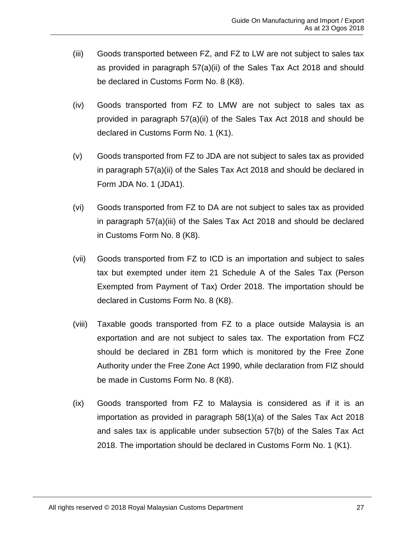- (iii) Goods transported between FZ, and FZ to LW are not subject to sales tax as provided in paragraph 57(a)(ii) of the Sales Tax Act 2018 and should be declared in Customs Form No. 8 (K8).
- (iv) Goods transported from FZ to LMW are not subject to sales tax as provided in paragraph 57(a)(ii) of the Sales Tax Act 2018 and should be declared in Customs Form No. 1 (K1).
- (v) Goods transported from FZ to JDA are not subject to sales tax as provided in paragraph 57(a)(ii) of the Sales Tax Act 2018 and should be declared in Form JDA No. 1 (JDA1).
- (vi) Goods transported from FZ to DA are not subject to sales tax as provided in paragraph 57(a)(iii) of the Sales Tax Act 2018 and should be declared in Customs Form No. 8 (K8).
- (vii) Goods transported from FZ to ICD is an importation and subject to sales tax but exempted under item 21 Schedule A of the Sales Tax (Person Exempted from Payment of Tax) Order 2018. The importation should be declared in Customs Form No. 8 (K8).
- (viii) Taxable goods transported from FZ to a place outside Malaysia is an exportation and are not subject to sales tax. The exportation from FCZ should be declared in ZB1 form which is monitored by the Free Zone Authority under the Free Zone Act 1990, while declaration from FIZ should be made in Customs Form No. 8 (K8).
- (ix) Goods transported from FZ to Malaysia is considered as if it is an importation as provided in paragraph 58(1)(a) of the Sales Tax Act 2018 and sales tax is applicable under subsection 57(b) of the Sales Tax Act 2018. The importation should be declared in Customs Form No. 1 (K1).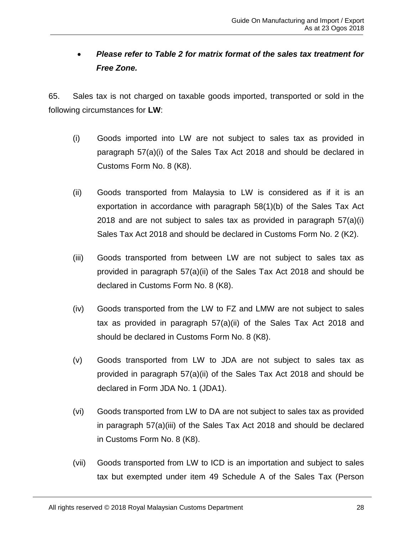# • *Please refer to Table 2 for matrix format of the sales tax treatment for Free Zone.*

65. Sales tax is not charged on taxable goods imported, transported or sold in the following circumstances for **LW**:

- (i) Goods imported into LW are not subject to sales tax as provided in paragraph 57(a)(i) of the Sales Tax Act 2018 and should be declared in Customs Form No. 8 (K8).
- (ii) Goods transported from Malaysia to LW is considered as if it is an exportation in accordance with paragraph 58(1)(b) of the Sales Tax Act 2018 and are not subject to sales tax as provided in paragraph  $57(a)(i)$ Sales Tax Act 2018 and should be declared in Customs Form No. 2 (K2).
- (iii) Goods transported from between LW are not subject to sales tax as provided in paragraph 57(a)(ii) of the Sales Tax Act 2018 and should be declared in Customs Form No. 8 (K8).
- (iv) Goods transported from the LW to FZ and LMW are not subject to sales tax as provided in paragraph 57(a)(ii) of the Sales Tax Act 2018 and should be declared in Customs Form No. 8 (K8).
- (v) Goods transported from LW to JDA are not subject to sales tax as provided in paragraph 57(a)(ii) of the Sales Tax Act 2018 and should be declared in Form JDA No. 1 (JDA1).
- (vi) Goods transported from LW to DA are not subject to sales tax as provided in paragraph 57(a)(iii) of the Sales Tax Act 2018 and should be declared in Customs Form No. 8 (K8).
- (vii) Goods transported from LW to ICD is an importation and subject to sales tax but exempted under item 49 Schedule A of the Sales Tax (Person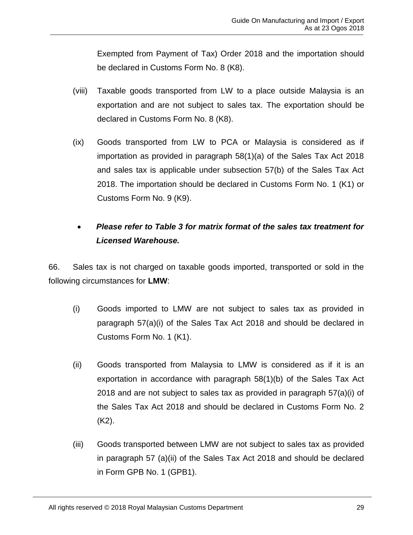Exempted from Payment of Tax) Order 2018 and the importation should be declared in Customs Form No. 8 (K8).

- (viii) Taxable goods transported from LW to a place outside Malaysia is an exportation and are not subject to sales tax. The exportation should be declared in Customs Form No. 8 (K8).
- (ix) Goods transported from LW to PCA or Malaysia is considered as if importation as provided in paragraph 58(1)(a) of the Sales Tax Act 2018 and sales tax is applicable under subsection 57(b) of the Sales Tax Act 2018. The importation should be declared in Customs Form No. 1 (K1) or Customs Form No. 9 (K9).

# • *Please refer to Table 3 for matrix format of the sales tax treatment for Licensed Warehouse.*

66. Sales tax is not charged on taxable goods imported, transported or sold in the following circumstances for **LMW**:

- (i) Goods imported to LMW are not subject to sales tax as provided in paragraph 57(a)(i) of the Sales Tax Act 2018 and should be declared in Customs Form No. 1 (K1).
- (ii) Goods transported from Malaysia to LMW is considered as if it is an exportation in accordance with paragraph 58(1)(b) of the Sales Tax Act 2018 and are not subject to sales tax as provided in paragraph 57(a)(i) of the Sales Tax Act 2018 and should be declared in Customs Form No. 2 (K2).
- (iii) Goods transported between LMW are not subject to sales tax as provided in paragraph 57 (a)(ii) of the Sales Tax Act 2018 and should be declared in Form GPB No. 1 (GPB1).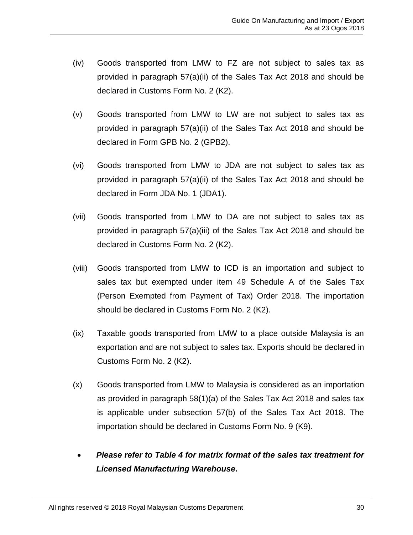- (iv) Goods transported from LMW to FZ are not subject to sales tax as provided in paragraph 57(a)(ii) of the Sales Tax Act 2018 and should be declared in Customs Form No. 2 (K2).
- (v) Goods transported from LMW to LW are not subject to sales tax as provided in paragraph 57(a)(ii) of the Sales Tax Act 2018 and should be declared in Form GPB No. 2 (GPB2).
- (vi) Goods transported from LMW to JDA are not subject to sales tax as provided in paragraph 57(a)(ii) of the Sales Tax Act 2018 and should be declared in Form JDA No. 1 (JDA1).
- (vii) Goods transported from LMW to DA are not subject to sales tax as provided in paragraph 57(a)(iii) of the Sales Tax Act 2018 and should be declared in Customs Form No. 2 (K2).
- (viii) Goods transported from LMW to ICD is an importation and subject to sales tax but exempted under item 49 Schedule A of the Sales Tax (Person Exempted from Payment of Tax) Order 2018. The importation should be declared in Customs Form No. 2 (K2).
- (ix) Taxable goods transported from LMW to a place outside Malaysia is an exportation and are not subject to sales tax. Exports should be declared in Customs Form No. 2 (K2).
- (x) Goods transported from LMW to Malaysia is considered as an importation as provided in paragraph 58(1)(a) of the Sales Tax Act 2018 and sales tax is applicable under subsection 57(b) of the Sales Tax Act 2018. The importation should be declared in Customs Form No. 9 (K9).
- *Please refer to Table 4 for matrix format of the sales tax treatment for Licensed Manufacturing Warehouse***.**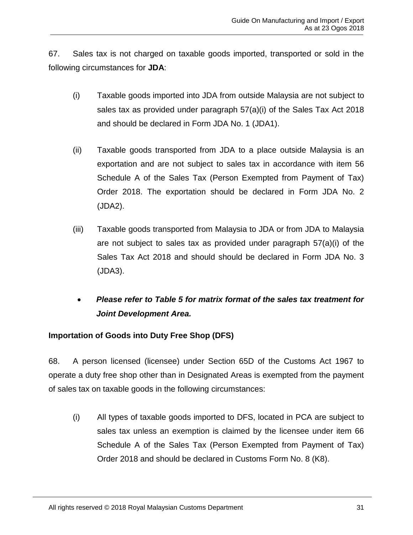67. Sales tax is not charged on taxable goods imported, transported or sold in the following circumstances for **JDA**:

- (i) Taxable goods imported into JDA from outside Malaysia are not subject to sales tax as provided under paragraph  $57(a)(i)$  of the Sales Tax Act 2018 and should be declared in Form JDA No. 1 (JDA1).
- (ii) Taxable goods transported from JDA to a place outside Malaysia is an exportation and are not subject to sales tax in accordance with item 56 Schedule A of the Sales Tax (Person Exempted from Payment of Tax) Order 2018. The exportation should be declared in Form JDA No. 2 (JDA2).
- (iii) Taxable goods transported from Malaysia to JDA or from JDA to Malaysia are not subject to sales tax as provided under paragraph 57(a)(i) of the Sales Tax Act 2018 and should should be declared in Form JDA No. 3 (JDA3).
- *Please refer to Table 5 for matrix format of the sales tax treatment for Joint Development Area.*

# <span id="page-34-0"></span>**Importation of Goods into Duty Free Shop (DFS)**

68. A person licensed (licensee) under Section 65D of the Customs Act 1967 to operate a duty free shop other than in Designated Areas is exempted from the payment of sales tax on taxable goods in the following circumstances:

(i) All types of taxable goods imported to DFS, located in PCA are subject to sales tax unless an exemption is claimed by the licensee under item 66 Schedule A of the Sales Tax (Person Exempted from Payment of Tax) Order 2018 and should be declared in Customs Form No. 8 (K8).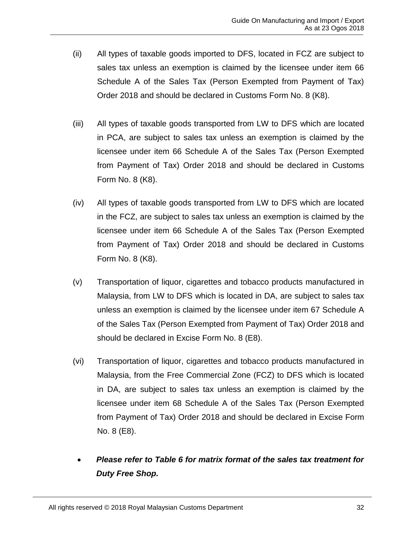- (ii) All types of taxable goods imported to DFS, located in FCZ are subject to sales tax unless an exemption is claimed by the licensee under item 66 Schedule A of the Sales Tax (Person Exempted from Payment of Tax) Order 2018 and should be declared in Customs Form No. 8 (K8).
- (iii) All types of taxable goods transported from LW to DFS which are located in PCA, are subject to sales tax unless an exemption is claimed by the licensee under item 66 Schedule A of the Sales Tax (Person Exempted from Payment of Tax) Order 2018 and should be declared in Customs Form No. 8 (K8).
- (iv) All types of taxable goods transported from LW to DFS which are located in the FCZ, are subject to sales tax unless an exemption is claimed by the licensee under item 66 Schedule A of the Sales Tax (Person Exempted from Payment of Tax) Order 2018 and should be declared in Customs Form No. 8 (K8).
- (v) Transportation of liquor, cigarettes and tobacco products manufactured in Malaysia, from LW to DFS which is located in DA, are subject to sales tax unless an exemption is claimed by the licensee under item 67 Schedule A of the Sales Tax (Person Exempted from Payment of Tax) Order 2018 and should be declared in Excise Form No. 8 (E8).
- (vi) Transportation of liquor, cigarettes and tobacco products manufactured in Malaysia, from the Free Commercial Zone (FCZ) to DFS which is located in DA, are subject to sales tax unless an exemption is claimed by the licensee under item 68 Schedule A of the Sales Tax (Person Exempted from Payment of Tax) Order 2018 and should be declared in Excise Form No. 8 (E8).
- *Please refer to Table 6 for matrix format of the sales tax treatment for Duty Free Shop.*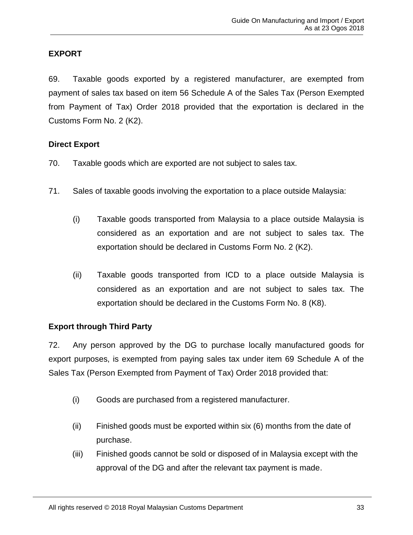# <span id="page-36-0"></span>**EXPORT**

69. Taxable goods exported by a registered manufacturer, are exempted from payment of sales tax based on item 56 Schedule A of the Sales Tax (Person Exempted from Payment of Tax) Order 2018 provided that the exportation is declared in the Customs Form No. 2 (K2).

#### <span id="page-36-1"></span>**Direct Export**

- 70. Taxable goods which are exported are not subject to sales tax.
- 71. Sales of taxable goods involving the exportation to a place outside Malaysia:
	- (i) Taxable goods transported from Malaysia to a place outside Malaysia is considered as an exportation and are not subject to sales tax. The exportation should be declared in Customs Form No. 2 (K2).
	- (ii) Taxable goods transported from ICD to a place outside Malaysia is considered as an exportation and are not subject to sales tax. The exportation should be declared in the Customs Form No. 8 (K8).

#### <span id="page-36-2"></span>**Export through Third Party**

72. Any person approved by the DG to purchase locally manufactured goods for export purposes, is exempted from paying sales tax under item 69 Schedule A of the Sales Tax (Person Exempted from Payment of Tax) Order 2018 provided that:

- (i) Goods are purchased from a registered manufacturer.
- (ii) Finished goods must be exported within six (6) months from the date of purchase.
- (iii) Finished goods cannot be sold or disposed of in Malaysia except with the approval of the DG and after the relevant tax payment is made.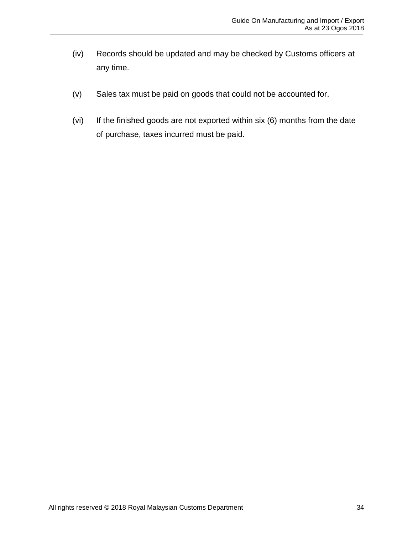- (iv) Records should be updated and may be checked by Customs officers at any time.
- (v) Sales tax must be paid on goods that could not be accounted for.
- (vi) If the finished goods are not exported within six (6) months from the date of purchase, taxes incurred must be paid.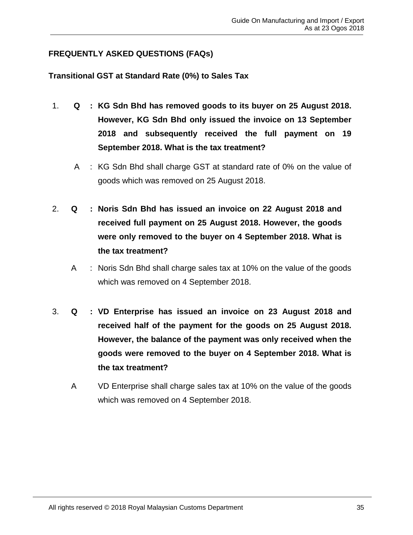# <span id="page-38-0"></span>**FREQUENTLY ASKED QUESTIONS (FAQs)**

# <span id="page-38-1"></span>**Transitional GST at Standard Rate (0%) to Sales Tax**

- 1. **Q : KG Sdn Bhd has removed goods to its buyer on 25 August 2018. However, KG Sdn Bhd only issued the invoice on 13 September 2018 and subsequently received the full payment on 19 September 2018. What is the tax treatment?**
	- A : KG Sdn Bhd shall charge GST at standard rate of 0% on the value of goods which was removed on 25 August 2018.
- 2. **Q : Noris Sdn Bhd has issued an invoice on 22 August 2018 and received full payment on 25 August 2018. However, the goods were only removed to the buyer on 4 September 2018. What is the tax treatment?**
	- A : Noris Sdn Bhd shall charge sales tax at 10% on the value of the goods which was removed on 4 September 2018.
- 3. **Q : VD Enterprise has issued an invoice on 23 August 2018 and received half of the payment for the goods on 25 August 2018. However, the balance of the payment was only received when the goods were removed to the buyer on 4 September 2018. What is the tax treatment?**
	- A VD Enterprise shall charge sales tax at 10% on the value of the goods which was removed on 4 September 2018.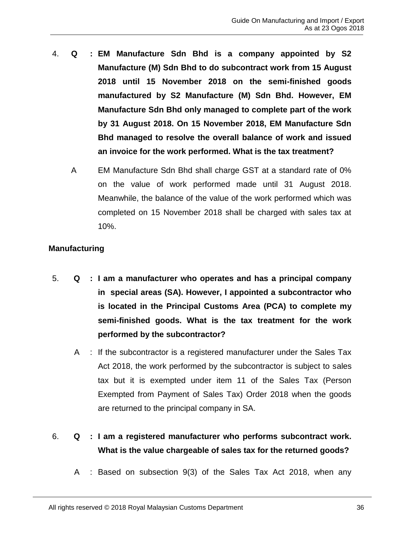- 4. **Q : EM Manufacture Sdn Bhd is a company appointed by S2 Manufacture (M) Sdn Bhd to do subcontract work from 15 August 2018 until 15 November 2018 on the semi-finished goods manufactured by S2 Manufacture (M) Sdn Bhd. However, EM Manufacture Sdn Bhd only managed to complete part of the work by 31 August 2018. On 15 November 2018, EM Manufacture Sdn Bhd managed to resolve the overall balance of work and issued an invoice for the work performed. What is the tax treatment?**
	- A EM Manufacture Sdn Bhd shall charge GST at a standard rate of 0% on the value of work performed made until 31 August 2018. Meanwhile, the balance of the value of the work performed which was completed on 15 November 2018 shall be charged with sales tax at 10%.

# <span id="page-39-0"></span>**Manufacturing**

- 5. **Q : I am a manufacturer who operates and has a principal company in special areas (SA). However, I appointed a subcontractor who is located in the Principal Customs Area (PCA) to complete my semi-finished goods. What is the tax treatment for the work performed by the subcontractor?**
	- A : If the subcontractor is a registered manufacturer under the Sales Tax Act 2018, the work performed by the subcontractor is subject to sales tax but it is exempted under item 11 of the Sales Tax (Person Exempted from Payment of Sales Tax) Order 2018 when the goods are returned to the principal company in SA.
- 6. **Q : I am a registered manufacturer who performs subcontract work. What is the value chargeable of sales tax for the returned goods?**
	- A : Based on subsection 9(3) of the Sales Tax Act 2018, when any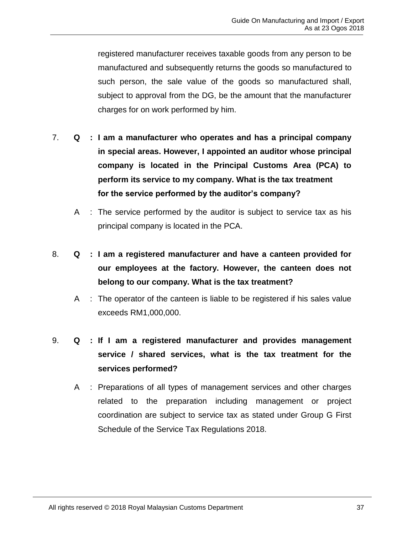registered manufacturer receives taxable goods from any person to be manufactured and subsequently returns the goods so manufactured to such person, the sale value of the goods so manufactured shall, subject to approval from the DG, be the amount that the manufacturer charges for on work performed by him.

- 7. **Q : I am a manufacturer who operates and has a principal company in special areas. However, I appointed an auditor whose principal company is located in the Principal Customs Area (PCA) to perform its service to my company. What is the tax treatment for the service performed by the auditor's company?**
	- A : The service performed by the auditor is subject to service tax as his principal company is located in the PCA.
- 8. **Q : I am a registered manufacturer and have a canteen provided for our employees at the factory. However, the canteen does not belong to our company. What is the tax treatment?**
	- A : The operator of the canteen is liable to be registered if his sales value exceeds RM1,000,000.
- 9. **Q : If I am a registered manufacturer and provides management service / shared services, what is the tax treatment for the services performed?**
	- A : Preparations of all types of management services and other charges related to the preparation including management or project coordination are subject to service tax as stated under Group G First Schedule of the Service Tax Regulations 2018.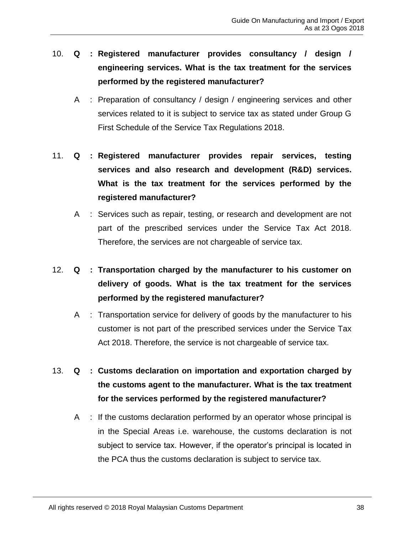- 10. **Q : Registered manufacturer provides consultancy / design / engineering services. What is the tax treatment for the services performed by the registered manufacturer?**
	- A : Preparation of consultancy / design / engineering services and other services related to it is subject to service tax as stated under Group G First Schedule of the Service Tax Regulations 2018.
- 11. **Q : Registered manufacturer provides repair services, testing services and also research and development (R&D) services. What is the tax treatment for the services performed by the registered manufacturer?**
	- A : Services such as repair, testing, or research and development are not part of the prescribed services under the Service Tax Act 2018. Therefore, the services are not chargeable of service tax.
- 12. **Q : Transportation charged by the manufacturer to his customer on delivery of goods. What is the tax treatment for the services performed by the registered manufacturer?**
	- A : Transportation service for delivery of goods by the manufacturer to his customer is not part of the prescribed services under the Service Tax Act 2018. Therefore, the service is not chargeable of service tax.
- 13. **Q : Customs declaration on importation and exportation charged by the customs agent to the manufacturer. What is the tax treatment for the services performed by the registered manufacturer?**
	- A : If the customs declaration performed by an operator whose principal is in the Special Areas i.e. warehouse, the customs declaration is not subject to service tax. However, if the operator's principal is located in the PCA thus the customs declaration is subject to service tax.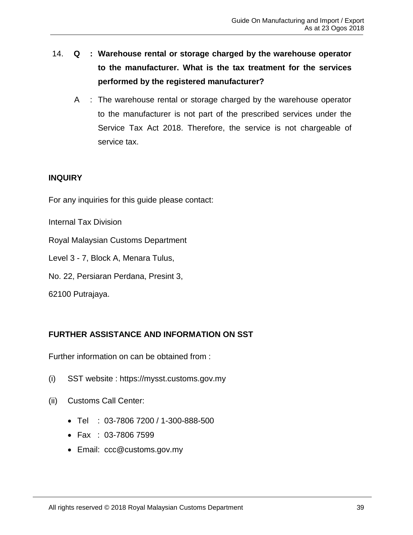- 14. **Q : Warehouse rental or storage charged by the warehouse operator to the manufacturer. What is the tax treatment for the services performed by the registered manufacturer?**
	- A : The warehouse rental or storage charged by the warehouse operator to the manufacturer is not part of the prescribed services under the Service Tax Act 2018. Therefore, the service is not chargeable of service tax.

# <span id="page-42-0"></span>**INQUIRY**

For any inquiries for this guide please contact:

Internal Tax Division

Royal Malaysian Customs Department

Level 3 - 7, Block A, Menara Tulus,

No. 22, Persiaran Perdana, Presint 3,

62100 Putrajaya.

# <span id="page-42-1"></span>**FURTHER ASSISTANCE AND INFORMATION ON SST**

Further information on can be obtained from :

- (i) SST website : https://mysst.customs.gov.my
- (ii) Customs Call Center:
	- Tel : 03-7806 7200 / 1-300-888-500
	- Fax : 03-7806 7599
	- Email: [ccc@customs.gov.my](mailto:ccc@customs.gov.my)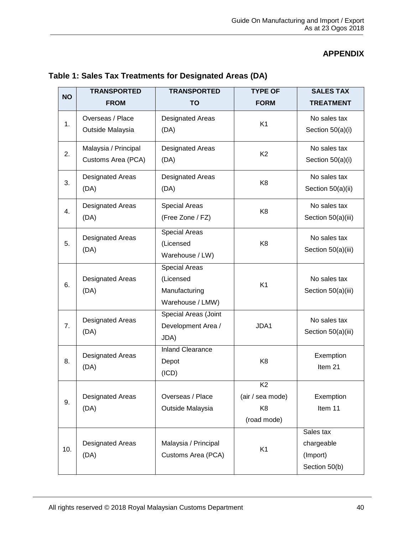# **APPENDIX**

| <b>NO</b> | <b>TRANSPORTED</b><br><b>FROM</b>          | <b>TRANSPORTED</b><br><b>TO</b>                                        | <b>TYPE OF</b><br><b>FORM</b>                                       | <b>SALES TAX</b><br><b>TREATMENT</b>                 |
|-----------|--------------------------------------------|------------------------------------------------------------------------|---------------------------------------------------------------------|------------------------------------------------------|
| 1.        | Overseas / Place<br>Outside Malaysia       | <b>Designated Areas</b><br>(DA)                                        | K <sub>1</sub>                                                      | No sales tax<br>Section 50(a)(i)                     |
| 2.        | Malaysia / Principal<br>Customs Area (PCA) | <b>Designated Areas</b><br>(DA)                                        | K <sub>2</sub>                                                      | No sales tax<br>Section 50(a)(i)                     |
| 3.        | <b>Designated Areas</b><br>(DA)            | <b>Designated Areas</b><br>(DA)                                        | K <sub>8</sub>                                                      | No sales tax<br>Section 50(a)(ii)                    |
| 4.        | <b>Designated Areas</b><br>(DA)            | Special Areas<br>(Free Zone / FZ)                                      | K <sub>8</sub>                                                      | No sales tax<br>Section 50(a)(iii)                   |
| 5.        | <b>Designated Areas</b><br>(DA)            | <b>Special Areas</b><br>(Licensed<br>Warehouse / LW)                   | K <sub>8</sub>                                                      | No sales tax<br>Section 50(a)(iii)                   |
| 6.        | <b>Designated Areas</b><br>(DA)            | <b>Special Areas</b><br>(Licensed<br>Manufacturing<br>Warehouse / LMW) | K <sub>1</sub>                                                      | No sales tax<br>Section 50(a)(iii)                   |
| 7.        | <b>Designated Areas</b><br>(DA)            | Special Areas (Joint<br>Development Area /<br>JDA)                     | JDA1                                                                | No sales tax<br>Section 50(a)(iii)                   |
| 8.        | <b>Designated Areas</b><br>(DA)            | <b>Inland Clearance</b><br>Depot<br>(ICD)                              | K <sub>8</sub>                                                      | Exemption<br>Item 21                                 |
| 9.        | <b>Designated Areas</b><br>(DA)            | Overseas / Place<br>Outside Malaysia                                   | K <sub>2</sub><br>(air / sea mode)<br>K <sub>8</sub><br>(road mode) | Exemption<br>Item 11                                 |
| 10.       | <b>Designated Areas</b><br>(DA)            | Malaysia / Principal<br>Customs Area (PCA)                             | K <sub>1</sub>                                                      | Sales tax<br>chargeable<br>(Import)<br>Section 50(b) |

# <span id="page-43-1"></span><span id="page-43-0"></span>**Table 1: Sales Tax Treatments for Designated Areas (DA)**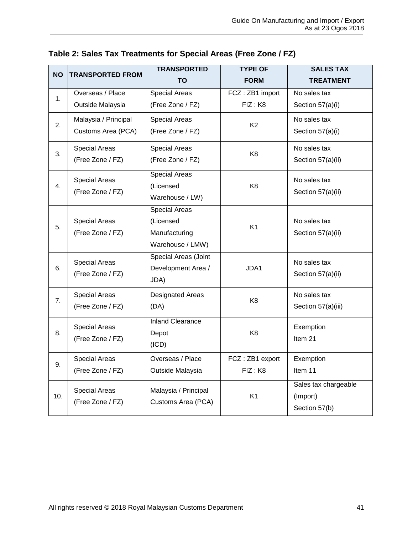| <b>NO</b> | <b>TRANSPORTED FROM</b>                  | <b>TRANSPORTED</b>      | <b>TYPE OF</b>  | <b>SALES TAX</b>     |
|-----------|------------------------------------------|-------------------------|-----------------|----------------------|
|           |                                          | <b>TO</b>               | <b>FORM</b>     | <b>TREATMENT</b>     |
| 1.        | Overseas / Place                         | <b>Special Areas</b>    | FCZ: ZB1 import | No sales tax         |
|           | Outside Malaysia                         | (Free Zone / FZ)        | FIZ: K8         | Section 57(a)(i)     |
| 2.        | Malaysia / Principal                     | <b>Special Areas</b>    | K <sub>2</sub>  | No sales tax         |
|           | Customs Area (PCA)                       | (Free Zone / FZ)        |                 | Section 57(a)(i)     |
| 3.        | <b>Special Areas</b>                     | <b>Special Areas</b>    | K <sub>8</sub>  | No sales tax         |
|           | (Free Zone / FZ)                         | (Free Zone / FZ)        |                 | Section 57(a)(ii)    |
|           | <b>Special Areas</b>                     | <b>Special Areas</b>    |                 | No sales tax         |
| 4.        | (Free Zone / FZ)                         | (Licensed               | K <sub>8</sub>  | Section 57(a)(ii)    |
|           |                                          | Warehouse / LW)         |                 |                      |
|           |                                          | <b>Special Areas</b>    |                 |                      |
| 5.        | <b>Special Areas</b><br>(Free Zone / FZ) | (Licensed               | K <sub>1</sub>  | No sales tax         |
|           |                                          | Manufacturing           |                 | Section 57(a)(ii)    |
|           |                                          | Warehouse / LMW)        |                 |                      |
|           | <b>Special Areas</b>                     | Special Areas (Joint    |                 | No sales tax         |
| 6.        | (Free Zone / FZ)                         | Development Area /      | JDA1            | Section 57(a)(ii)    |
|           |                                          | JDA)                    |                 |                      |
| 7.        | <b>Special Areas</b>                     | Designated Areas        |                 | No sales tax         |
|           | (Free Zone / FZ)                         | (DA)                    | K <sub>8</sub>  | Section 57(a)(iii)   |
|           | <b>Special Areas</b>                     | <b>Inland Clearance</b> |                 | Exemption            |
| 8.        | (Free Zone / FZ)                         | Depot                   | K <sub>8</sub>  | Item 21              |
|           |                                          | (ICD)                   |                 |                      |
| 9.        | <b>Special Areas</b>                     | Overseas / Place        | FCZ: ZB1 export | Exemption            |
|           | (Free Zone / FZ)                         | Outside Malaysia        | FIZ: K8         | Item 11              |
|           | <b>Special Areas</b>                     | Malaysia / Principal    |                 | Sales tax chargeable |
| 10.       | (Free Zone / FZ)                         | Customs Area (PCA)      | K <sub>1</sub>  | (Import)             |
|           |                                          |                         |                 | Section 57(b)        |

<span id="page-44-0"></span>

|  | Table 2: Sales Tax Treatments for Special Areas (Free Zone / FZ) |  |
|--|------------------------------------------------------------------|--|
|  |                                                                  |  |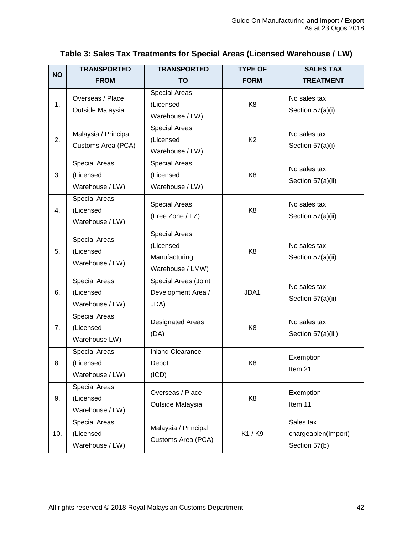| <b>NO</b> | <b>TRANSPORTED</b>                                   | <b>TRANSPORTED</b>                                                     | <b>TYPE OF</b> | <b>SALES TAX</b>                                  |
|-----------|------------------------------------------------------|------------------------------------------------------------------------|----------------|---------------------------------------------------|
|           | <b>FROM</b>                                          | <b>TO</b>                                                              | <b>FORM</b>    | <b>TREATMENT</b>                                  |
| 1.        | Overseas / Place<br>Outside Malaysia                 | <b>Special Areas</b><br>(Licensed<br>Warehouse / LW)                   | K <sub>8</sub> | No sales tax<br>Section 57(a)(i)                  |
| 2.        | Malaysia / Principal<br>Customs Area (PCA)           | <b>Special Areas</b><br>(Licensed<br>Warehouse / LW)                   | K <sub>2</sub> | No sales tax<br>Section 57(a)(i)                  |
| 3.        | <b>Special Areas</b><br>(Licensed<br>Warehouse / LW) | <b>Special Areas</b><br>(Licensed<br>Warehouse / LW)                   | K <sub>8</sub> | No sales tax<br>Section 57(a)(ii)                 |
| 4.        | <b>Special Areas</b><br>(Licensed<br>Warehouse / LW) | <b>Special Areas</b><br>(Free Zone / FZ)                               | K <sub>8</sub> | No sales tax<br>Section 57(a)(ii)                 |
| 5.        | <b>Special Areas</b><br>(Licensed<br>Warehouse / LW) | <b>Special Areas</b><br>(Licensed<br>Manufacturing<br>Warehouse / LMW) | K <sub>8</sub> | No sales tax<br>Section 57(a)(ii)                 |
| 6.        | <b>Special Areas</b><br>(Licensed<br>Warehouse / LW) | Special Areas (Joint<br>Development Area /<br>JDA)                     | JDA1           | No sales tax<br>Section 57(a)(ii)                 |
| 7.        | <b>Special Areas</b><br>(Licensed<br>Warehouse LW)   | <b>Designated Areas</b><br>(DA)                                        | K <sub>8</sub> | No sales tax<br>Section 57(a)(iii)                |
| 8.        | <b>Special Areas</b><br>(Licensed<br>Warehouse / LW) | <b>Inland Clearance</b><br>Depot<br>(ICD)                              | K <sub>8</sub> | Exemption<br>Item 21                              |
| 9.        | <b>Special Areas</b><br>(Licensed<br>Warehouse / LW) | Overseas / Place<br>Outside Malaysia                                   | K <sub>8</sub> | Exemption<br>Item 11                              |
| 10.       | <b>Special Areas</b><br>(Licensed<br>Warehouse / LW) | Malaysia / Principal<br>Customs Area (PCA)                             | K1 / K9        | Sales tax<br>chargeablen(Import)<br>Section 57(b) |

# <span id="page-45-0"></span>**Table 3: Sales Tax Treatments for Special Areas (Licensed Warehouse / LW)**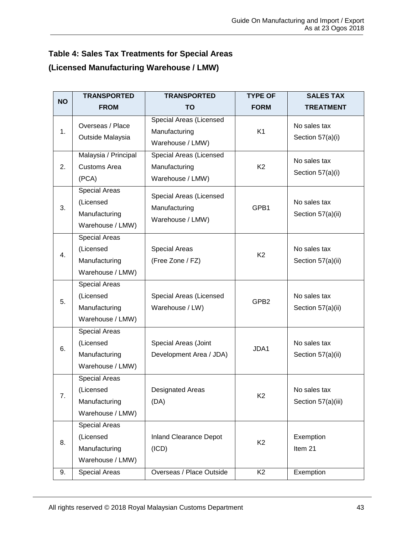# <span id="page-46-0"></span>**Table 4: Sales Tax Treatments for Special Areas (Licensed Manufacturing Warehouse / LMW)**

| <b>NO</b> | <b>TRANSPORTED</b>                                                     | <b>TRANSPORTED</b>                                           | <b>TYPE OF</b>   | <b>SALES TAX</b>                   |
|-----------|------------------------------------------------------------------------|--------------------------------------------------------------|------------------|------------------------------------|
|           | <b>FROM</b>                                                            | TO                                                           | <b>FORM</b>      | <b>TREATMENT</b>                   |
| 1.        | Overseas / Place<br>Outside Malaysia                                   | Special Areas (Licensed<br>Manufacturing<br>Warehouse / LMW) | K <sub>1</sub>   | No sales tax<br>Section 57(a)(i)   |
| 2.        | Malaysia / Principal<br><b>Customs Area</b><br>(PCA)                   | Special Areas (Licensed<br>Manufacturing<br>Warehouse / LMW) | K <sub>2</sub>   | No sales tax<br>Section 57(a)(i)   |
| 3.        | <b>Special Areas</b><br>(Licensed<br>Manufacturing<br>Warehouse / LMW) | Special Areas (Licensed<br>Manufacturing<br>Warehouse / LMW) | GPB1             | No sales tax<br>Section 57(a)(ii)  |
| 4.        | <b>Special Areas</b><br>(Licensed<br>Manufacturing<br>Warehouse / LMW) | Special Areas<br>(Free Zone / FZ)                            | K <sub>2</sub>   | No sales tax<br>Section 57(a)(ii)  |
| 5.        | <b>Special Areas</b><br>(Licensed<br>Manufacturing<br>Warehouse / LMW) | Special Areas (Licensed<br>Warehouse / LW)                   | GPB <sub>2</sub> | No sales tax<br>Section 57(a)(ii)  |
| 6.        | <b>Special Areas</b><br>(Licensed<br>Manufacturing<br>Warehouse / LMW) | Special Areas (Joint<br>Development Area / JDA)              | JDA1             | No sales tax<br>Section 57(a)(ii)  |
| 7.        | <b>Special Areas</b><br>(Licensed<br>Manufacturing<br>Warehouse / LMW) | <b>Designated Areas</b><br>(DA)                              | K <sub>2</sub>   | No sales tax<br>Section 57(a)(iii) |
| 8.        | <b>Special Areas</b><br>(Licensed<br>Manufacturing<br>Warehouse / LMW) | <b>Inland Clearance Depot</b><br>(ICD)                       | K <sub>2</sub>   | Exemption<br>Item 21               |
| 9.        | Special Areas                                                          | Overseas / Place Outside                                     | K <sub>2</sub>   | Exemption                          |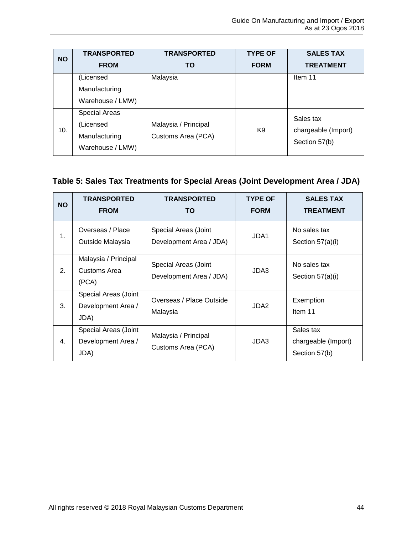| <b>NO</b> | <b>TRANSPORTED</b>   | <b>TRANSPORTED</b>                         | <b>TYPE OF</b> | <b>SALES TAX</b>    |
|-----------|----------------------|--------------------------------------------|----------------|---------------------|
|           | <b>FROM</b>          | ΤO                                         | <b>FORM</b>    | <b>TREATMENT</b>    |
|           | (Licensed            | Malaysia                                   |                | Item 11             |
|           | Manufacturing        |                                            |                |                     |
|           | Warehouse / LMW)     |                                            |                |                     |
|           | <b>Special Areas</b> |                                            |                | Sales tax           |
| 10.       | (Licensed            | Malaysia / Principal<br>Customs Area (PCA) | K9             | chargeable (Import) |
|           | Manufacturing        |                                            |                |                     |
|           | Warehouse / LMW)     |                                            |                | Section 57(b)       |

# <span id="page-47-0"></span>**Table 5: Sales Tax Treatments for Special Areas (Joint Development Area / JDA)**

| <b>NO</b> | <b>TRANSPORTED</b><br><b>FROM</b>                  | <b>TRANSPORTED</b><br>TO                        | <b>TYPE OF</b><br><b>FORM</b> | <b>SALES TAX</b><br><b>TREATMENT</b>              |
|-----------|----------------------------------------------------|-------------------------------------------------|-------------------------------|---------------------------------------------------|
| 1.        | Overseas / Place<br>Outside Malaysia               | Special Areas (Joint<br>Development Area / JDA) | JDA1                          | No sales tax<br>Section 57(a)(i)                  |
| 2.        | Malaysia / Principal<br>Customs Area<br>(PCA)      | Special Areas (Joint<br>Development Area / JDA) | JDA3                          | No sales tax<br>Section 57(a)(i)                  |
| 3.        | Special Areas (Joint<br>Development Area /<br>JDA) | Overseas / Place Outside<br>Malaysia            | JDA2                          | Exemption<br>Item 11                              |
| 4.        | Special Areas (Joint<br>Development Area /<br>JDA) | Malaysia / Principal<br>Customs Area (PCA)      | JDA3                          | Sales tax<br>chargeable (Import)<br>Section 57(b) |